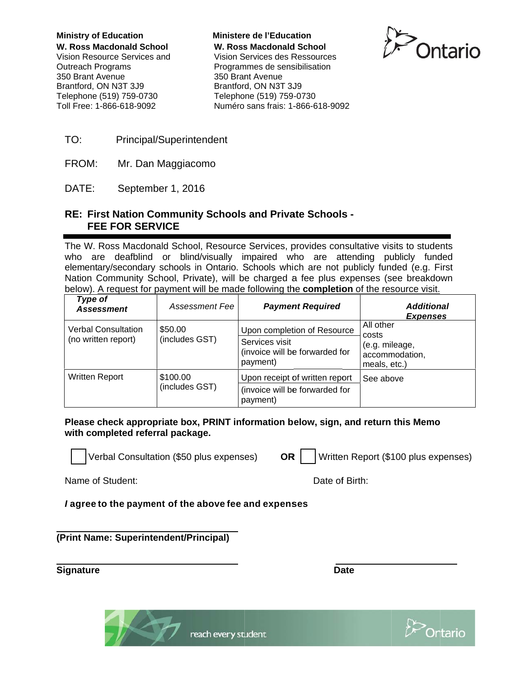**Ministry of Education** W. Ross Macdonald School Vision Resource Services and **Outreach Programs** 350 Brant Avenue Brantford, ON N3T 3J9 Telephone (519) 759-0730 Toll Free: 1-866-618-9092

**Ministere de l'Education W. Ross Macdonald School** Vision Services des Ressources Programmes de sensibilisation 350 Brant Avenue Brantford, ON N3T 3J9 Telephone (519) 759-0730 Numéro sans frais: 1-866-618-9092



- TO: **Principal/Superintendent**
- FROM: Mr. Dan Maggiacomo

DATE: September 1, 2016

### RE: First Nation Community Schools and Private Schools -**FEE FOR SERVICE**

The W. Ross Macdonald School, Resource Services, provides consultative visits to students who are deafblind or blind/visually impaired who are attending publicly funded elementary/secondary schools in Ontario. Schools which are not publicly funded (e.g. First Nation Community School, Private), will be charged a fee plus expenses (see breakdown below). A request for payment will be made following the **completion** of the resource visit.

| Type of<br><b>Assessment</b>                      | Assessment Fee             | <b>Payment Required</b>                                                                     | <b>Additional</b><br><b>Expenses</b>                                   |
|---------------------------------------------------|----------------------------|---------------------------------------------------------------------------------------------|------------------------------------------------------------------------|
| <b>Verbal Consultation</b><br>(no written report) | \$50.00<br>(includes GST)  | Upon completion of Resource<br>Services visit<br>(invoice will be forwarded for<br>payment) | All other<br>costs<br>(e.g. mileage,<br>accommodation,<br>meals, etc.) |
| <b>Written Report</b>                             | \$100.00<br>(includes GST) | Upon receipt of written report<br>(invoice will be forwarded for<br>payment)                | See above                                                              |

Please check appropriate box, PRINT information below, sign, and return this Memo with completed referral package.

Verbal Consultation (\$50 plus expenses)

Written Report (\$100 plus expenses) OR |

Name of Student:

Date of Birth:

**Date** 

I agree to the payment of the above fee and expenses

(Print Name: Superintendent/Principal)

**Signature** 



reach every student

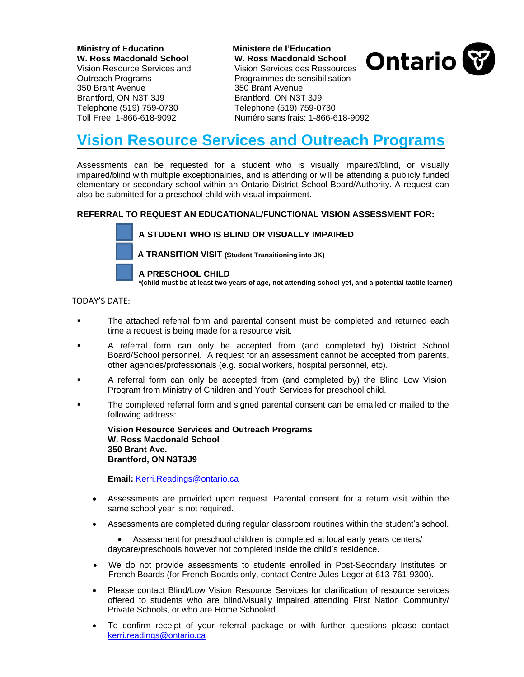**Ministry of Education Ministere de l'Education W. Ross Macdonald School W. Ross Macdonald School**  350 Brant Avenue 350 Brant Avenue Brantford, ON N3T 3J9 Brantford, ON N3T 3J9 Telephone (519) 759-0730 Telephone (519) 759-0730

Vision Resource Services and Vision Services des Ressources Outreach Programs Programmes de sensibilisation



Toll Free: 1-866-618-9092 Numéro sans frais: 1-866-618-9092

# **Vision Resource Services and Outreach Programs**

Assessments can be requested for a student who is visually impaired/blind, or visually impaired/blind with multiple exceptionalities, and is attending or will be attending a publicly funded elementary or secondary school within an Ontario District School Board/Authority. A request can also be submitted for a preschool child with visual impairment.

#### **REFERRAL TO REQUEST AN EDUCATIONAL/FUNCTIONAL VISION ASSESSMENT FOR:**



**\*(child must be at least two years of age, not attending school yet, and a potential tactile learner)**

TODAY'S DATE:

- The attached referral form and parental consent must be completed and returned each time a request is being made for a resource visit.
- A referral form can only be accepted from (and completed by) District School Board/School personnel. A request for an assessment cannot be accepted from parents, other agencies/professionals (e.g. social workers, hospital personnel, etc).
- A referral form can only be accepted from (and completed by) the Blind Low Vision Program from Ministry of Children and Youth Services for preschool child.
- The completed referral form and signed parental consent can be emailed or mailed to the following address:

**Vision Resource Services and Outreach Programs W. Ross Macdonald School 350 Brant Ave. Brantford, ON N3T3J9**

**Email:** [Kerri.Readings@ontario.ca](mailto:Kerri.Readings@ontario.ca)

- Assessments are provided upon request. Parental consent for a return visit within the same school year is not required.
- Assessments are completed during regular classroom routines within the student's school.

• Assessment for preschool children is completed at local early years centers/ daycare/preschools however not completed inside the child's residence.

- We do not provide assessments to students enrolled in Post-Secondary Institutes or French Boards (for French Boards only, contact Centre Jules-Leger at 613-761-9300).
- Please contact Blind/Low Vision Resource Services for clarification of resource services offered to students who are blind/visually impaired attending First Nation Community/ Private Schools, or who are Home Schooled.
- To confirm receipt of your referral package or with further questions please contact [kerri.readings@ontario.ca](mailto:kerri.readings@ontario.ca)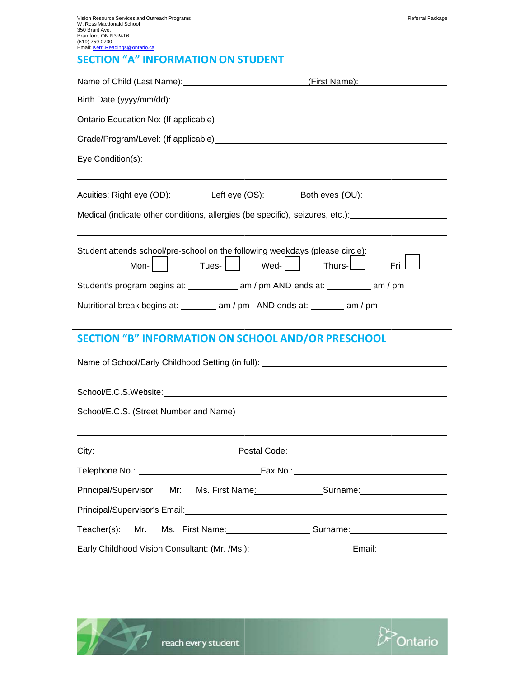| ເບ ເອກ ກວອ-ບກວບ<br>Email: Kerri.Readings@ontario.ca                                                                                                                                                                            |  |  |  |
|--------------------------------------------------------------------------------------------------------------------------------------------------------------------------------------------------------------------------------|--|--|--|
| <b>SECTION "A" INFORMATION ON STUDENT</b>                                                                                                                                                                                      |  |  |  |
| Name of Child (Last Name): (First Name): (First Name):                                                                                                                                                                         |  |  |  |
|                                                                                                                                                                                                                                |  |  |  |
| Ontario Education No: (If applicable) Manual Content Content of Content Content Content Content Content Content                                                                                                                |  |  |  |
|                                                                                                                                                                                                                                |  |  |  |
|                                                                                                                                                                                                                                |  |  |  |
|                                                                                                                                                                                                                                |  |  |  |
| Acuities: Right eye (OD): Left eye (OS): Both eyes (OU): Contract COU COU COU                                                                                                                                                  |  |  |  |
| Medical (indicate other conditions, allergies (be specific), seizures, etc.): [11] Medical (indicate other conditions, allergies (be specific), seizures, etc.):                                                               |  |  |  |
|                                                                                                                                                                                                                                |  |  |  |
| Student attends school/pre-school on the following weekdays (please circle):<br>Tues-     Wed-    <br>Fri $\Box$<br>Mon- $\vert$ $\vert$<br>Thurs- <b>L</b>                                                                    |  |  |  |
|                                                                                                                                                                                                                                |  |  |  |
|                                                                                                                                                                                                                                |  |  |  |
| Nutritional break begins at: _________ am / pm AND ends at: _______ am / pm                                                                                                                                                    |  |  |  |
| <b>SECTION "B" INFORMATION ON SCHOOL AND/OR PRESCHOOL</b>                                                                                                                                                                      |  |  |  |
| Name of School/Early Childhood Setting (in full): ______________________________                                                                                                                                               |  |  |  |
|                                                                                                                                                                                                                                |  |  |  |
|                                                                                                                                                                                                                                |  |  |  |
| School/E.C.S. (Street Number and Name)                                                                                                                                                                                         |  |  |  |
|                                                                                                                                                                                                                                |  |  |  |
|                                                                                                                                                                                                                                |  |  |  |
|                                                                                                                                                                                                                                |  |  |  |
| Principal/Supervisor<br>Mr:<br>Ms. First Name: Surname: Surname:                                                                                                                                                               |  |  |  |
| Principal/Supervisor's Email: Washington and Contract the Contract of the Contract of the Contract of the Contract of the Contract of the Contract of the Contract of the Contract of the Contract of the Contract of the Cont |  |  |  |
| Teacher(s):<br>Ms. First Name: Surname: Surname: Night Name:<br>Mr.                                                                                                                                                            |  |  |  |
| Early Childhood Vision Consultant: (Mr. /Ms.): 1988 1999 1999<br>Email: Email:                                                                                                                                                 |  |  |  |



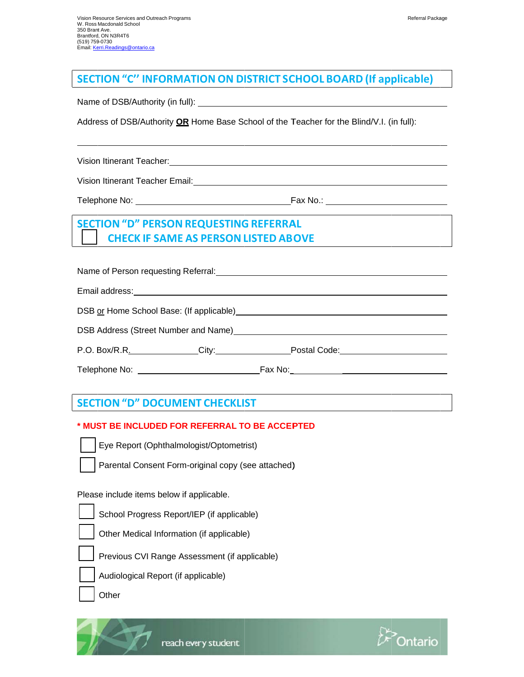### **SECTION "C" INFORMATION ON DISTRICT SCHOOL BOARD (If applicable)**

Address of DSB/Authority OR Home Base School of the Teacher for the Blind/V.I. (in full):

Vision Itinerant Teacher:

Vision Itinerant Teacher Email: Vision Itinerant Teacher Email:

## **SECTION "D" PERSON REQUESTING REFERRAL CHECK IF SAME AS PERSON LISTED ABOVE**

Name of Person requesting Referral: Name of Person and Control of Person and Control of Person and Control of

| DSB or Home School Base: (If applicable) |  |
|------------------------------------------|--|
|                                          |  |

DSB Address (Street Number and Name) **EXAMPLE 2008** 

### **SECTION "D" DOCUMENT CHECKLIST**

### \* MUST BE INCLUDED FOR REFERRAL TO BE ACCEPTED



Parental Consent Form-original copy (see attached)

Please include items below if applicable.

- School Progress Report/IEP (if applicable)
- Other Medical Information (if applicable)
- Previous CVI Range Assessment (if applicable)
	- Audiological Report (if applicable)



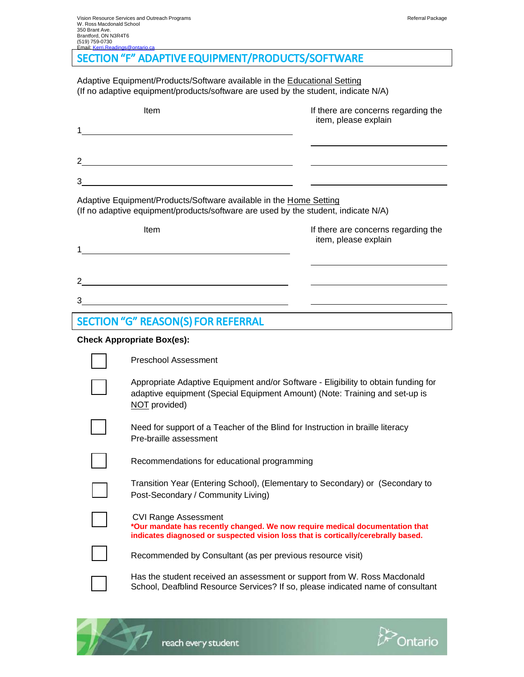# SECTION "F" ADAPTIVE EQUIPMENT/PRODUCTS/SOFTWARE

Adaptive Equipment/Products/Software available in the Educational Setting (If no adaptive equipment/products/software are used by the student, indicate N/A)

| Item                                                               | If there are concerns regarding the<br>item, please explain |
|--------------------------------------------------------------------|-------------------------------------------------------------|
| 1                                                                  |                                                             |
| $\mathcal{P}$                                                      |                                                             |
| 3                                                                  |                                                             |
| Adaptive Faujoment/Products/Software available in the Home Setting |                                                             |

Adaptive Equipment/Products/Software available in the Home Setting (If no adaptive equipment/products/software are used by the student, indicate N/A)

| Item<br>4     |  | If there are concerns regarding the<br>item, please explain |  |
|---------------|--|-------------------------------------------------------------|--|
| $\mathcal{P}$ |  |                                                             |  |
| 3             |  |                                                             |  |

# SECTION "G" REASON(S) FOR REFERRAL

#### **Check Appropriate Box(es):**

| Preschool Assessment                                                                                                                                                                             |
|--------------------------------------------------------------------------------------------------------------------------------------------------------------------------------------------------|
| Appropriate Adaptive Equipment and/or Software - Eligibility to obtain funding for<br>adaptive equipment (Special Equipment Amount) (Note: Training and set-up is<br>NOT provided)               |
| Need for support of a Teacher of the Blind for Instruction in braille literacy<br>Pre-braille assessment                                                                                         |
| Recommendations for educational programming                                                                                                                                                      |
| Transition Year (Entering School), (Elementary to Secondary) or (Secondary to<br>Post-Secondary / Community Living)                                                                              |
| <b>CVI Range Assessment</b><br>*Our mandate has recently changed. We now require medical documentation that<br>indicates diagnosed or suspected vision loss that is cortically/cerebrally based. |
| Recommended by Consultant (as per previous resource visit)                                                                                                                                       |
| Has the student received an assessment or support from W. Ross Macdonald<br>School, Deafblind Resource Services? If so, please indicated name of consultant                                      |